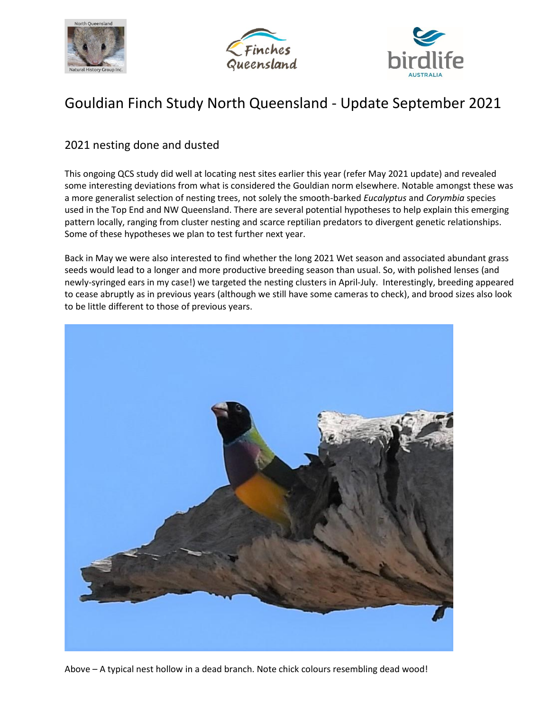





# Gouldian Finch Study North Queensland - Update September 2021

## 2021 nesting done and dusted

This ongoing QCS study did well at locating nest sites earlier this year (refer May 2021 update) and revealed some interesting deviations from what is considered the Gouldian norm elsewhere. Notable amongst these was a more generalist selection of nesting trees, not solely the smooth-barked *Eucalyptus* and *Corymbia* species used in the Top End and NW Queensland. There are several potential hypotheses to help explain this emerging pattern locally, ranging from cluster nesting and scarce reptilian predators to divergent genetic relationships. Some of these hypotheses we plan to test further next year.

Back in May we were also interested to find whether the long 2021 Wet season and associated abundant grass seeds would lead to a longer and more productive breeding season than usual. So, with polished lenses (and newly-syringed ears in my case!) we targeted the nesting clusters in April-July. Interestingly, breeding appeared to cease abruptly as in previous years (although we still have some cameras to check), and brood sizes also look to be little different to those of previous years.

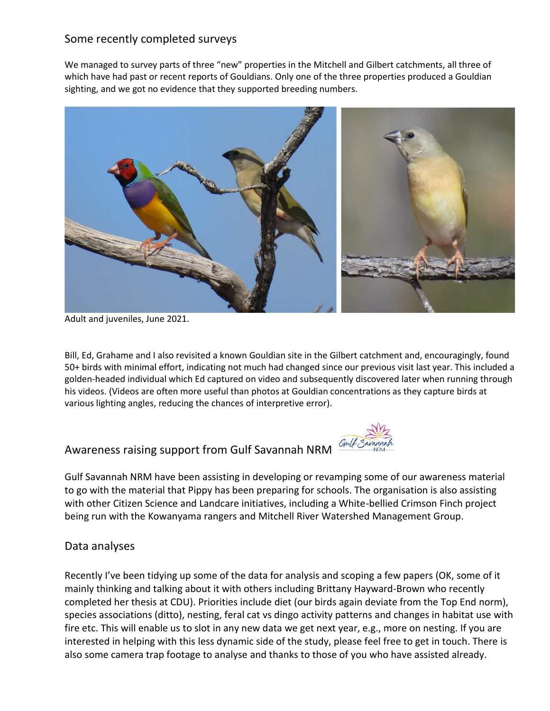## Some recently completed surveys

We managed to survey parts of three "new" properties in the Mitchell and Gilbert catchments, all three of which have had past or recent reports of Gouldians. Only one of the three properties produced a Gouldian sighting, and we got no evidence that they supported breeding numbers.



Adult and juveniles, June 2021.

Bill, Ed, Grahame and I also revisited a known Gouldian site in the Gilbert catchment and, encouragingly, found 50+ birds with minimal effort, indicating not much had changed since our previous visit last year. This included a golden-headed individual which Ed captured on video and subsequently discovered later when running through his videos. (Videos are often more useful than photos at Gouldian concentrations as they capture birds at various lighting angles, reducing the chances of interpretive error).

## Awareness raising support from Gulf Savannah NRM



## Data analyses

Recently I've been tidying up some of the data for analysis and scoping a few papers (OK, some of it mainly thinking and talking about it with others including Brittany Hayward-Brown who recently completed her thesis at CDU). Priorities include diet (our birds again deviate from the Top End norm), species associations (ditto), nesting, feral cat vs dingo activity patterns and changes in habitat use with fire etc. This will enable us to slot in any new data we get next year, e.g., more on nesting. If you are interested in helping with this less dynamic side of the study, please feel free to get in touch. There is also some camera trap footage to analyse and thanks to those of you who have assisted already.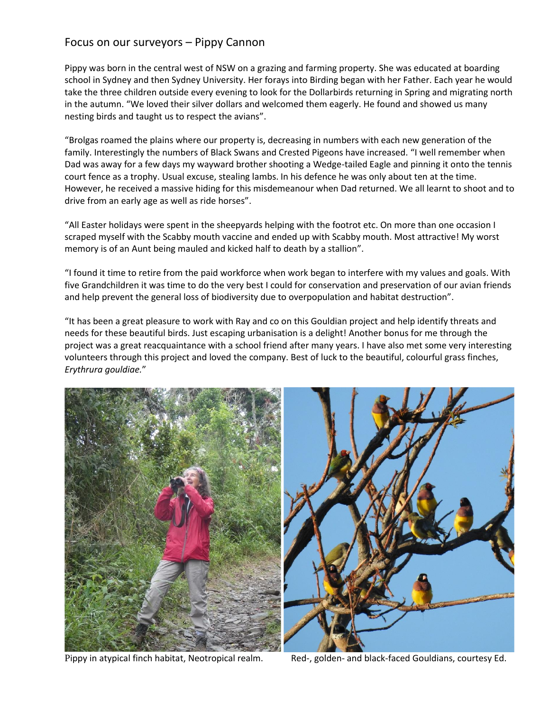#### Focus on our surveyors – Pippy Cannon

Pippy was born in the central west of NSW on a grazing and farming property. She was educated at boarding school in Sydney and then Sydney University. Her forays into Birding began with her Father. Each year he would take the three children outside every evening to look for the Dollarbirds returning in Spring and migrating north in the autumn. "We loved their silver dollars and welcomed them eagerly. He found and showed us many nesting birds and taught us to respect the avians".

"Brolgas roamed the plains where our property is, decreasing in numbers with each new generation of the family. Interestingly the numbers of Black Swans and Crested Pigeons have increased. "I well remember when Dad was away for a few days my wayward brother shooting a Wedge-tailed Eagle and pinning it onto the tennis court fence as a trophy. Usual excuse, stealing lambs. In his defence he was only about ten at the time. However, he received a massive hiding for this misdemeanour when Dad returned. We all learnt to shoot and to drive from an early age as well as ride horses".

"All Easter holidays were spent in the sheepyards helping with the footrot etc. On more than one occasion I scraped myself with the Scabby mouth vaccine and ended up with Scabby mouth. Most attractive! My worst memory is of an Aunt being mauled and kicked half to death by a stallion".

"I found it time to retire from the paid workforce when work began to interfere with my values and goals. With five Grandchildren it was time to do the very best I could for conservation and preservation of our avian friends and help prevent the general loss of biodiversity due to overpopulation and habitat destruction".

"It has been a great pleasure to work with Ray and co on this Gouldian project and help identify threats and needs for these beautiful birds. Just escaping urbanisation is a delight! Another bonus for me through the project was a great reacquaintance with a school friend after many years. I have also met some very interesting volunteers through this project and loved the company. Best of luck to the beautiful, colourful grass finches, *Erythrura gouldiae.*"



Pippy in atypical finch habitat, Neotropical realm. Red-, golden- and black-faced Gouldians, courtesy Ed.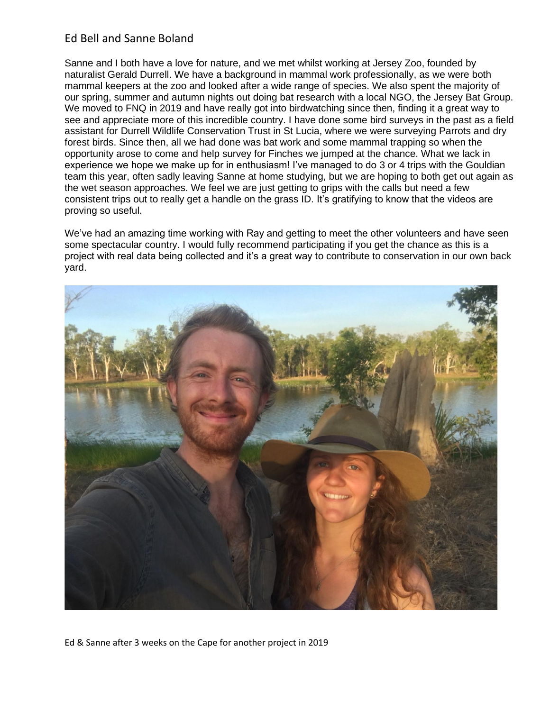## Ed Bell and Sanne Boland

Sanne and I both have a love for nature, and we met whilst working at Jersey Zoo, founded by naturalist Gerald Durrell. We have a background in mammal work professionally, as we were both mammal keepers at the zoo and looked after a wide range of species. We also spent the majority of our spring, summer and autumn nights out doing bat research with a local NGO, the Jersey Bat Group. We moved to FNQ in 2019 and have really got into birdwatching since then, finding it a great way to see and appreciate more of this incredible country. I have done some bird surveys in the past as a field assistant for Durrell Wildlife Conservation Trust in St Lucia, where we were surveying Parrots and dry forest birds. Since then, all we had done was bat work and some mammal trapping so when the opportunity arose to come and help survey for Finches we jumped at the chance. What we lack in experience we hope we make up for in enthusiasm! I've managed to do 3 or 4 trips with the Gouldian team this year, often sadly leaving Sanne at home studying, but we are hoping to both get out again as the wet season approaches. We feel we are just getting to grips with the calls but need a few consistent trips out to really get a handle on the grass ID. It's gratifying to know that the videos are proving so useful.

We've had an amazing time working with Ray and getting to meet the other volunteers and have seen some spectacular country. I would fully recommend participating if you get the chance as this is a project with real data being collected and it's a great way to contribute to conservation in our own back yard.



Ed & Sanne after 3 weeks on the Cape for another project in 2019